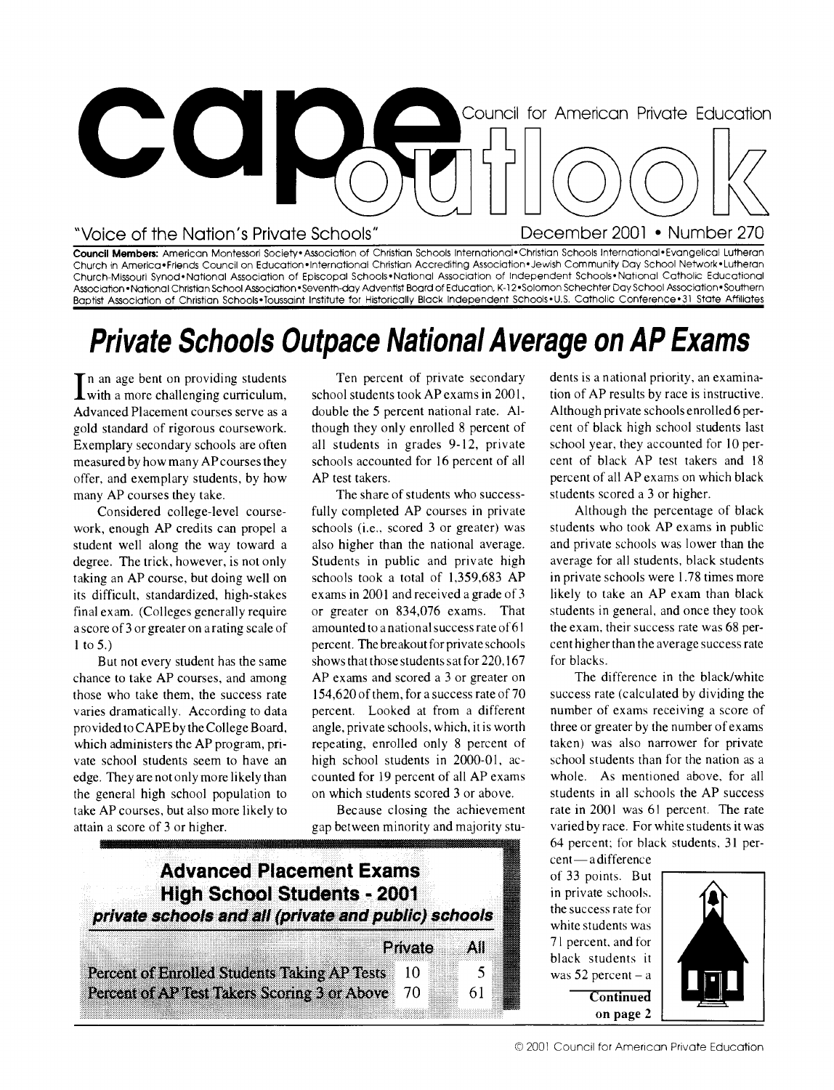

**Council Members:** American Montessori Society• Association of Christian Schools International•Christian Schools International•Evangelical Lutheran Church in America•Friends Council on Education•International Christian Accrediting Association•Jewish Community Day School Network•Lutheran Church-Missouri Synod•Notional Association of Episcopal Schools•Notional Association of Independent Schools• National Catholic Educational Association • National Christian School Association• Seventh-day Adventist Board of Education, K-12 •Solomon Schechter Day School Association •Southern Baptist Association of Christian Schools•Toussaint Institute for Historically Black Independent Schools•U.S. Catholic Conference•31 State Affiliates

# **Private Schools Outpace National Average on AP Exams**

In an age bent on providing students<br>with a more challenging curriculum, n an age bent on providing students Advanced Placement courses serve as a gold standard of rigorous coursework. Exemplary secondary schools are often measured by how many AP courses they offer, and exemplary students, by how many AP courses they take.

Considered college-level coursework, enough AP credits can propel a student well along the way toward a degree. The trick, however, is not only taking an AP course, but doing well on its difficult, standardized, high-stakes final exam. (Colleges generally require a score of 3 or greater on a rating scale of l to 5.)

But not every student has the same chance to take AP courses, and among those who take them, the success rate varies dramatically. According to data provided to CAPE by the College Board, which administers the AP program, private school students seem to have an edge. They are not only more likely than the general high school population to take AP courses, but also more likely to attain a score of 3 or higher.

Ten percent of private secondary school students took AP exams in 2001, double the 5 percent national rate. Although they only enrolled 8 percent of all students in grades 9-12, private schools accounted for 16 percent of all AP test takers.

The share of students who successfully completed AP courses in private schools (i.e., scored 3 or greater) was also higher than the national average. Students in public and private high schools took a total of 1,359,683 AP exams in 2001 and received a grade of 3 or greater on 834,076 exams. That amounted to a national success rate of 61 percent. The breakout for private schools shows that those students sat for 220,167 AP exams and scored a 3 or greater on 154,620 of them, for a success rate of 70 percent. Looked at from a different angle, private schools, which, it is worth repeating, enrolled only 8 percent of high school students in 2000-01, accounted for 19 percent of all AP exams on which students scored 3 or above.

Because closing the achievement gap between minority and majority stu-



dents is a national priority, an examination of AP results by race is instructive. Although private schools enrolled 6 percent of black high school students last school year, they accounted for 10 percent of black AP test takers and 18 percent of all AP exams on which black students scored a 3 or higher.

Although the percentage of black students who took AP exams in public and private schools was lower than the average for all students, black students in private schools were 1.78 times more likely to take an AP exam than black students in general, and once they took the exam, their success rate was 68 percent higher than the average success rate for blacks.

The difference in the black/white success rate (calculated by dividing the number of exams receiving a score of three or greater by the number of exams taken) was also narrower for private school students than for the nation as a whole. As mentioned above, for all students in all schools the AP success rate in 2001 was 61 percent. The rate varied by race. For white students it was 64 percent; for black students, 31 percent—adifference

of 33 points. But in private schools. the success rate for white students was 71 percent, and for black students it was 52 percent – **a Continued** 

**on page** 2

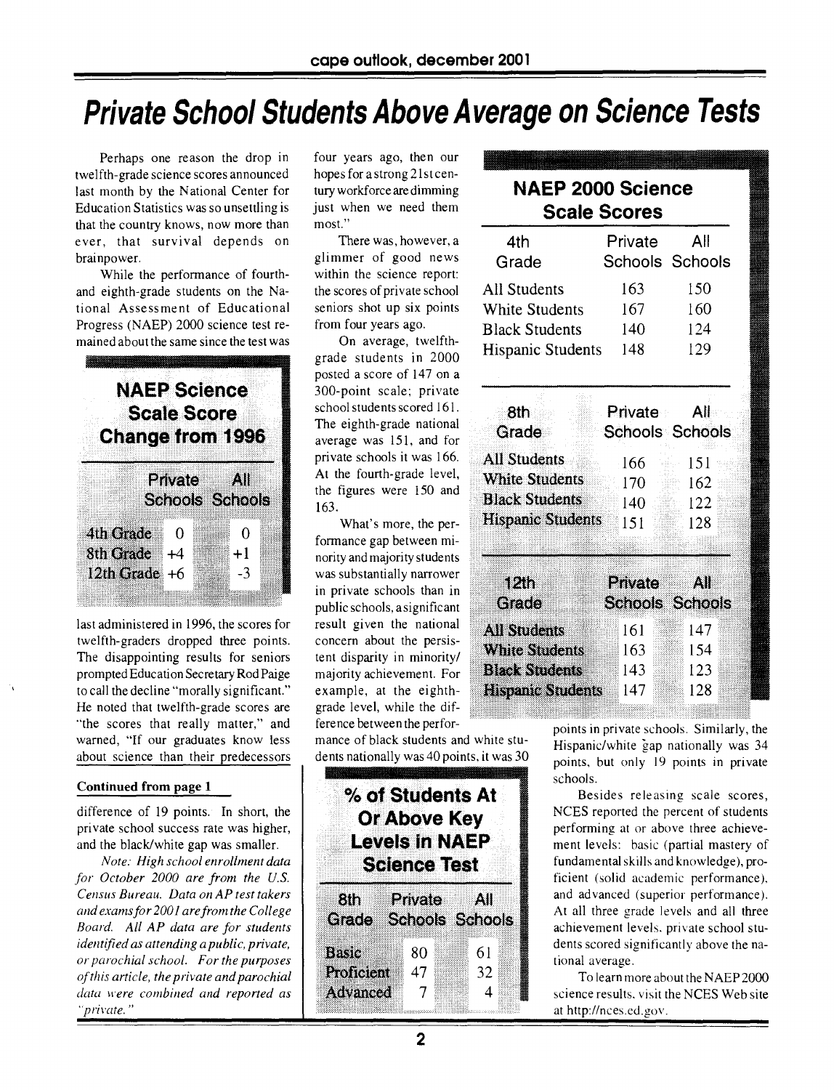# Private School Students Above Average on Science Tests

Perhaps one reason the drop in twelfth-grade science scores announced last month by the National Center for Education Statistics was so unsettling is that the country knows, now more than ever, that survival depends on brainpower.

While the performance of fourthand eighth-grade students on the National Assessment of Educational Progress (NAEP) 2000 science test remained about the same since the test was



last administered in 1996, the scores for twelfth-graders dropped three points. The disappointing results for seniors prompted Education Secretary Rod Paige to call the decline "morally significant." He noted that twelfth-grade scores are "the scores that really matter," and warned, "If our graduates know less about science than their predecessors

#### Continued from page 1

difference of 19 points. In short, the private school success rate was higher, and the black/white gap was smaller.

*Note: High school enrollment data*  for October 2000 are from the U.S. *Census Bureau. Data on AP test takers and exams for 2001 are from the College Board. All AP data are for students identified as attending a public, private, or parochial school. For the purposes of this article, the private and parochial data were combined and reported* as "private. "

four years ago, then our hopes for a strong 21st century workforce are dimming just when we need them most."

There was, however, a glimmer of good news within the science report: the scores of private school seniors shot up six points from four years ago.

On average, twelfthgrade students in 2000 posted a score of 147 on a 300-point scale; private school students scored 161. The eighth-grade national average was 151, and for private schools it was 166. At the fourth-grade level, the figures were  $150$  and  $163$ .

What's more, the performance gap between minority and majority students was substantially narrower in private schools than in was substantially narrower<br>in private schools than in public schools, a significant **Grade** result given the national concern about the persistent disparity in minority/ majority achievement. For example, at the eighthgrade level, while the difference between the perfor-

mance of black students and white students nationally was 40 points, it was 30

| % of Students At<br><b>Or Above Key</b><br><b>Levels in NAEP</b><br><b>Science Test</b> |                                   |               |  |  |
|-----------------------------------------------------------------------------------------|-----------------------------------|---------------|--|--|
| 8th 1<br>Grade                                                                          | Private<br><b>Schools Schools</b> | All           |  |  |
| Basic<br>Proficient<br>Advanced                                                         | 80<br>47<br>$\overline{7}$        | 61<br>32<br>4 |  |  |

### NAEP 2000 Science Scale Scores

| 4th<br>Grade             | Private | All<br>Schools Schools        |
|--------------------------|---------|-------------------------------|
| All Students             | 163     | 150                           |
| <b>White Students</b>    | 167     | 160                           |
| <b>Black Students</b>    | 140     | 124                           |
| <b>Hispanic Students</b> | 148     | 129                           |
| 8th:                     | Private | All                           |
| Grade                    |         | Schools Schools               |
| All Students             | 166     | 151<br>a).                    |
| <b>White Students</b>    | 170     | 162                           |
| <b>Black Students</b>    | 140-    | $\approx$ 122                 |
| <b>Hispanic Students</b> | 151     | 128                           |
| 12In<br>Grade            | Private | All<br><b>Schools Schools</b> |
| <b>All Students</b>      | 161     | 147                           |
| <b>White Students</b>    | 163     | 154                           |
| <b>Black Students</b>    | 143     | 123                           |
| <b>Hispanic Students</b> | 147     | 128                           |

points in private schools. Similarly, the Hispanic/white gap nationally was 34 points, but only 19 points in private schools.

Besides releasing scale scores, NCES reported the percent of students performing at or above three achievement levels: basic (partial mastery of fundamental skills and knowledge), proficient (solid academic performance), and advanced (superior performance).<br>At all three grade levels and all three achievement levels, private school students scored significantly above the national average.

To learn more about the NAEP 2000 science results, visit the NCES Web site at http://nces.ed.gov .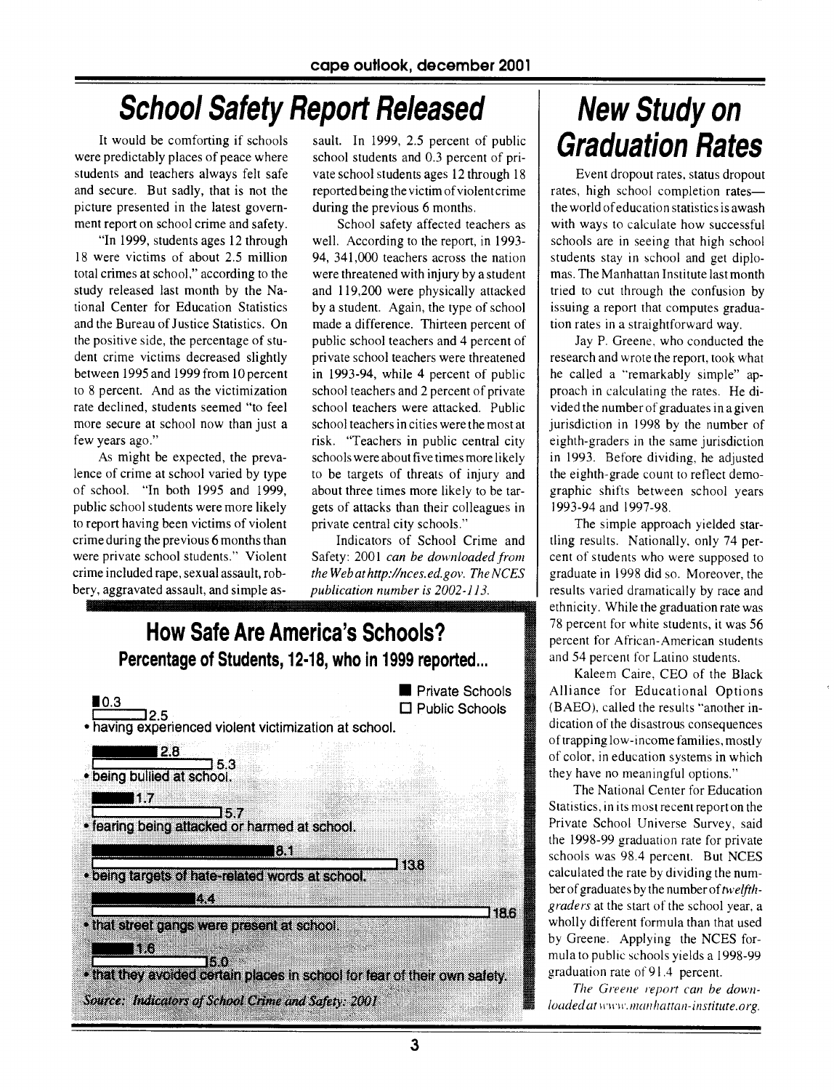# **School Safety Report Released**

It would be comforting if schools were predictably places of peace where students and teachers always felt safe and secure. But sadly, that is not the picture presented in the latest government report on school crime and safety.

"In 1999, students ages 12 through 18 were victims of about 2.5 million total crimes at school," according to the study released last month by the National Center for Education Statistics and the Bureau of Justice Statistics. On the positive side, the percentage of student crime victims decreased slightly between 1995 and 1999 from 10 percent to 8 percent. And as the victimization rate declined, students seemed "to feel more secure at school now than just a few years ago."

As might be expected, the prevalence of crime at school varied by type of school. "In both 1995 and 1999, public school students were more likely to report having been victims of violent crime during the previous 6 months than were private school students." Violent crime included rape, sexual assault, robbery, aggravated assault, and simple as-

sault. In 1999, 2.5 percent of public school students and 0.3 percent of private school students ages 12 through 18 reported being the victim of violent crime during the previous 6 months.

School safety affected teachers as well. According to the report, in 1993- 94, 341,000 teachers across the nation were threatened with injury by a student and 119,200 were physically attacked by a student. Again, the type of school made a difference. Thirteen percent of public school teachers and 4 percent of private school teachers were threatened in 1993-94, while 4 percent of public school teachers and 2 percent of private school teachers were attacked. Public school teachers in cities were the most at risk. "Teachers in public central city schools were about five times more likely to be targets of threats of injury and about three times more likely to be targets of attacks than their colleagues in private central city schools."

Indicators of School Crime and Safety: 2001 *can be downloaded from theWebathttp://nces.ed.gov . The NCES publication number is 2002-113.* 



# **New Study on Graduation Rates**

Event dropout rates, status dropout rates, high school completion rates the world of education statistics is awash with ways to calculate how successful schools are in seeing that high school students stay in school and get diplomas. The Manhattan Institute last month tried to cut through the confusion by issuing a report that computes graduation rates in a straightforward way.

Jay P. Greene, who conducted the research and wrote the report, took what he called a "remarkably simple" approach in calculating the rates. He divided the number of graduates in a given jurisdiction in 1998 by the number of eighth-graders in the same jurisdiction in 1993. Before dividing, he adjusted the eighth-grade count to reflect demographic shifts between school years 1993-94 and 1997-98.

The simple approach yielded startling results. Nationally, only 74 percent of students who were supposed to graduate in 1998 did so. Moreover, the results varied dramatically by race and ethnicity. While the graduation rate was 78 percent for white students, it was 56 percent for African-American students and 54 percent for Latino students.

Kaleem Caire, CEO of the Black Alliance for Educational Options (BAEO), called the results "another indication of the disastrous consequences of trapping low-income families, mostly of color. in education systems in which they have no meaningful options."

The National Center for Education Statistics, in its most recent report on the Private School Universe Survey, said the 1998-99 graduation rate for private schools was 98.4 percent. But NCES calculated the rate by dividing the number of graduates by the number of *twelfthgraders* at the start of the school year, a wholly different formula than that used by Greene. Applying the NCES formula to public schools yields a 1998-99 graduation rate of 91.4 percent.

*The Greene report can he downloaded at woo'.manhattan-institute.org.*